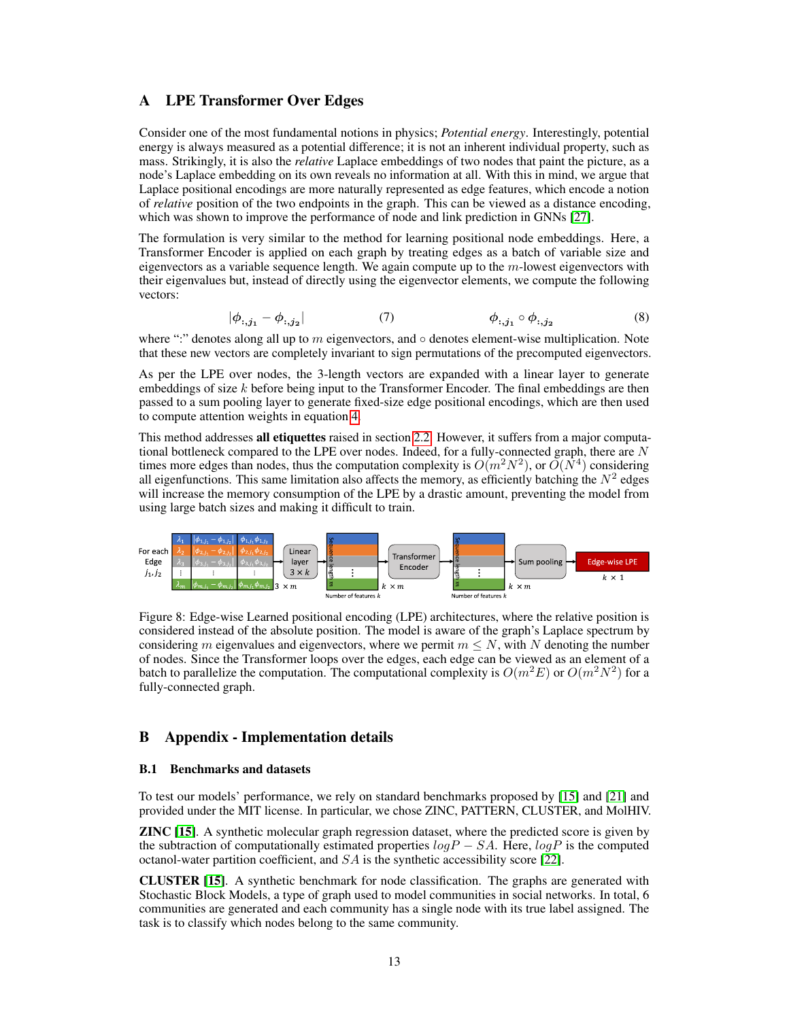# <span id="page-0-1"></span>A LPE Transformer Over Edges

Consider one of the most fundamental notions in physics; *Potential energy*. Interestingly, potential energy is always measured as a potential difference; it is not an inherent individual property, such as mass. Strikingly, it is also the *relative* Laplace embeddings of two nodes that paint the picture, as a node's Laplace embedding on its own reveals no information at all. With this in mind, we argue that Laplace positional encodings are more naturally represented as edge features, which encode a notion of *relative* position of the two endpoints in the graph. This can be viewed as a distance encoding, which was shown to improve the performance of node and link prediction in GNNs [\[27\]](#page--1-0).

The formulation is very similar to the method for learning positional node embeddings. Here, a Transformer Encoder is applied on each graph by treating edges as a batch of variable size and eigenvectors as a variable sequence length. We again compute up to the  $m$ -lowest eigenvectors with their eigenvalues but, instead of directly using the eigenvector elements, we compute the following vectors:

$$
|\phi_{:,j_1} - \phi_{:,j_2}| \qquad (7) \qquad \phi_{:,j_1} \circ \phi_{:,j_2} \qquad (8)
$$

where ":" denotes along all up to  $m$  eigenvectors, and  $\circ$  denotes element-wise multiplication. Note that these new vectors are completely invariant to sign permutations of the precomputed eigenvectors.

As per the LPE over nodes, the 3-length vectors are expanded with a linear layer to generate embeddings of size  $k$  before being input to the Transformer Encoder. The final embeddings are then passed to a sum pooling layer to generate fixed-size edge positional encodings, which are then used to compute attention weights in equation [4.](#page--1-1)

This method addresses all etiquettes raised in section [2.2.](#page--1-2) However, it suffers from a major computational bottleneck compared to the LPE over nodes. Indeed, for a fully-connected graph, there are  $N$ times more edges than nodes, thus the computation complexity is  $O(m^2N^2)$ , or  $\tilde{O}(N^4)$  considering all eigenfunctions. This same limitation also affects the memory, as efficiently batching the  $N^2$  edges will increase the memory consumption of the LPE by a drastic amount, preventing the model from using large batch sizes and making it difficult to train.



<span id="page-0-0"></span>Figure 8: Edge-wise Learned positional encoding (LPE) architectures, where the relative position is considered instead of the absolute position. The model is aware of the graph's Laplace spectrum by considering m eigenvalues and eigenvectors, where we permit  $m \leq N$ , with N denoting the number of nodes. Since the Transformer loops over the edges, each edge can be viewed as an element of a batch to parallelize the computation. The computational complexity is  $O(m^2E)$  or  $O(m^2N^2)$  for a fully-connected graph.

## B Appendix - Implementation details

### B.1 Benchmarks and datasets

To test our models' performance, we rely on standard benchmarks proposed by [\[15\]](#page--1-3) and [\[21\]](#page--1-4) and provided under the MIT license. In particular, we chose ZINC, PATTERN, CLUSTER, and MolHIV.

ZINC [\[15\]](#page--1-3). A synthetic molecular graph regression dataset, where the predicted score is given by the subtraction of computationally estimated properties  $logP - SA$ . Here,  $logP$  is the computed octanol-water partition coefficient, and  $SA$  is the synthetic accessibility score [\[22\]](#page--1-5).

CLUSTER [\[15\]](#page--1-3). A synthetic benchmark for node classification. The graphs are generated with Stochastic Block Models, a type of graph used to model communities in social networks. In total, 6 communities are generated and each community has a single node with its true label assigned. The task is to classify which nodes belong to the same community.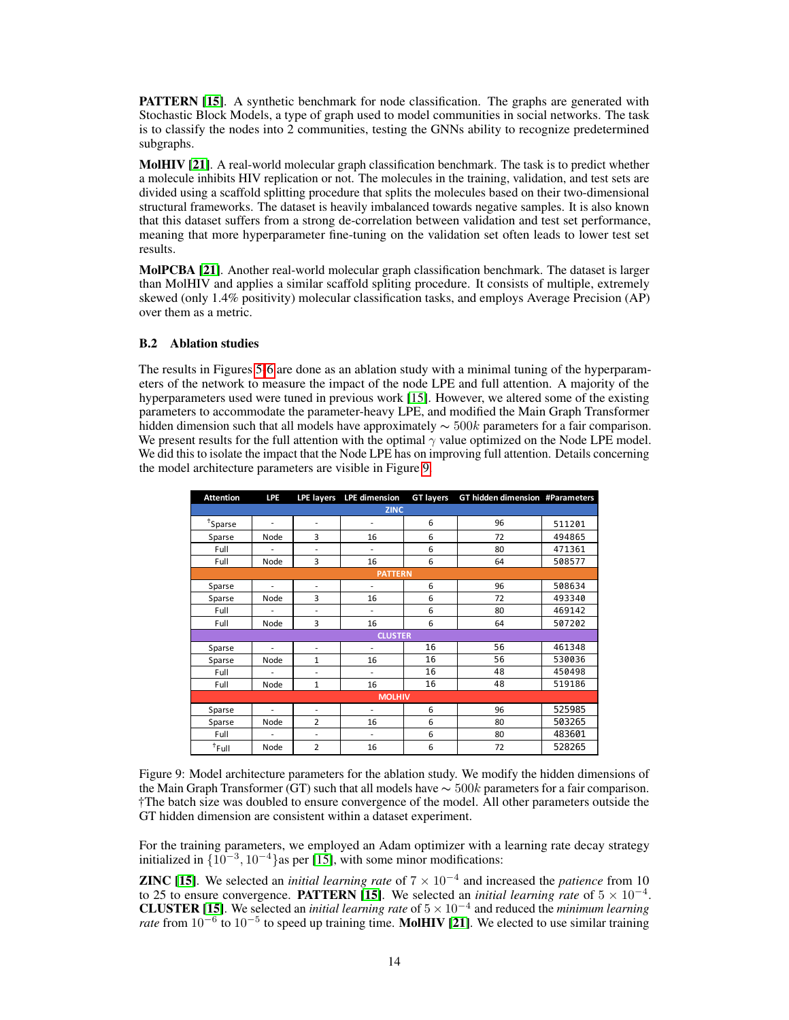**PATTERN [\[15\]](#page--1-3).** A synthetic benchmark for node classification. The graphs are generated with Stochastic Block Models, a type of graph used to model communities in social networks. The task is to classify the nodes into 2 communities, testing the GNNs ability to recognize predetermined subgraphs.

MolHIV [\[21\]](#page--1-4). A real-world molecular graph classification benchmark. The task is to predict whether a molecule inhibits HIV replication or not. The molecules in the training, validation, and test sets are divided using a scaffold splitting procedure that splits the molecules based on their two-dimensional structural frameworks. The dataset is heavily imbalanced towards negative samples. It is also known that this dataset suffers from a strong de-correlation between validation and test set performance, meaning that more hyperparameter fine-tuning on the validation set often leads to lower test set results.

MolPCBA [\[21\]](#page--1-4). Another real-world molecular graph classification benchmark. The dataset is larger than MolHIV and applies a similar scaffold spliting procedure. It consists of multiple, extremely skewed (only 1.4% positivity) molecular classification tasks, and employs Average Precision (AP) over them as a metric.

### B.2 Ablation studies

The results in Figures [5-](#page--1-6)[6](#page--1-7) are done as an ablation study with a minimal tuning of the hyperparameters of the network to measure the impact of the node LPE and full attention. A majority of the hyperparameters used were tuned in previous work [\[15\]](#page--1-3). However, we altered some of the existing parameters to accommodate the parameter-heavy LPE, and modified the Main Graph Transformer hidden dimension such that all models have approximately  $\sim$  500k parameters for a fair comparison. We present results for the full attention with the optimal  $\gamma$  value optimized on the Node LPE model. We did this to isolate the impact that the Node LPE has on improving full attention. Details concerning the model architecture parameters are visible in Figure [9.](#page-1-0)

| <b>Attention</b> | <b>LPE</b>     | <b>LPE layers</b> | <b>LPE</b> dimension | <b>GT layers</b> | GT hidden dimension #Parameters |        |  |  |
|------------------|----------------|-------------------|----------------------|------------------|---------------------------------|--------|--|--|
| <b>ZINC</b>      |                |                   |                      |                  |                                 |        |  |  |
| $*$ Sparse       | ٠              | ٠                 | ۰                    | 6                | 96                              | 511201 |  |  |
| Sparse           | Node           | 3                 | 16                   | 6                | 72                              | 494865 |  |  |
| Full             | ä,             | ٠                 | $\overline{a}$       | 6                | 80                              | 471361 |  |  |
| Full             | Node           | 3                 | 16                   | 6                | 64                              | 508577 |  |  |
| <b>PATTERN</b>   |                |                   |                      |                  |                                 |        |  |  |
| Sparse           | ä,             | ٠                 | L.                   | 6                | 96                              | 508634 |  |  |
| Sparse           | Node           | 3                 | 16                   | 6                | 72                              | 493340 |  |  |
| Full             | ٠              | ٠                 | ٠                    | 6                | 80                              | 469142 |  |  |
| Full             | Node           | 3                 | 16                   | 6                | 64                              | 507202 |  |  |
| <b>CLUSTER</b>   |                |                   |                      |                  |                                 |        |  |  |
| Sparse           | ٠              | ٠                 | ٠                    | 16               | 56                              | 461348 |  |  |
| Sparse           | Node           | 1                 | 16                   | 16               | 56                              | 530036 |  |  |
| Full             | $\overline{a}$ | ٠                 | ٠                    | 16               | 48                              | 450498 |  |  |
| Full             | Node           | 1                 | 16                   | 16               | 48                              | 519186 |  |  |
| <b>MOLHIV</b>    |                |                   |                      |                  |                                 |        |  |  |
| Sparse           | ä,             | ٠                 | ۰                    | 6                | 96                              | 525985 |  |  |
| Sparse           | Node           | $\overline{2}$    | 16                   | 6                | 80                              | 503265 |  |  |
| Full             |                | ٠                 | ٠                    | 6                | 80                              | 483601 |  |  |
| $†$ Full         | Node           | $\overline{2}$    | 16                   | 6                | 72                              | 528265 |  |  |

<span id="page-1-0"></span>Figure 9: Model architecture parameters for the ablation study. We modify the hidden dimensions of the Main Graph Transformer (GT) such that all models have  $\sim$  500k parameters for a fair comparison. †The batch size was doubled to ensure convergence of the model. All other parameters outside the GT hidden dimension are consistent within a dataset experiment.

For the training parameters, we employed an Adam optimizer with a learning rate decay strategy initialized in  $\{10^{-3}, 10^{-4}\}$  as per [\[15\]](#page--1-3), with some minor modifications:

ZINC [\[15\]](#page--1-3). We selected an *initial learning rate* of 7 × 10<sup>−</sup><sup>4</sup> and increased the *patience* from 10 to 25 to ensure convergence. **PATTERN** [\[15\]](#page--1-3). We selected an *initial learning rate* of  $5 \times 10^{-4}$ . **CLUSTER [\[15\]](#page--1-3).** We selected an *initial learning rate* of  $5 \times 10^{-4}$  and reduced the *minimum learning* rate from 10<sup>-6</sup> to 10<sup>-5</sup> to speed up training time. MolHIV [\[21\]](#page--1-4). We elected to use similar training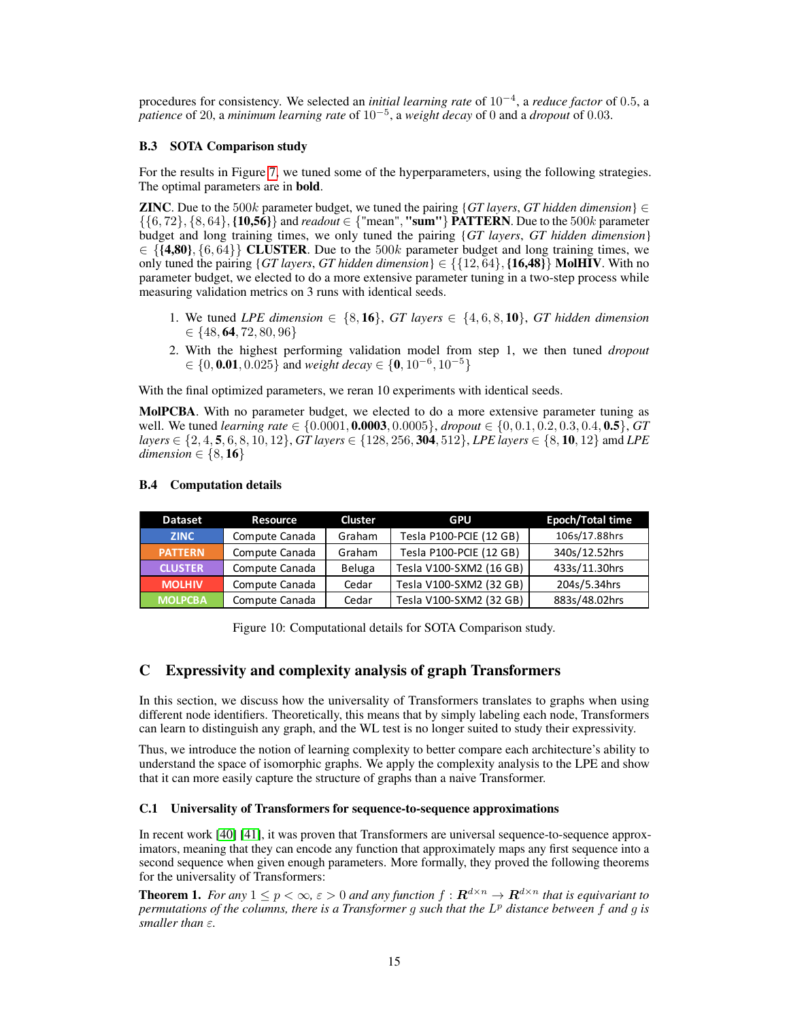procedures for consistency. We selected an *initial learning rate* of 10−<sup>4</sup> , a *reduce factor* of 0.5, a *patience* of 20, a *minimum learning rate* of 10−<sup>5</sup> , a *weight decay* of 0 and a *dropout* of 0.03.

### B.3 SOTA Comparison study

For the results in Figure [7,](#page--1-8) we tuned some of the hyperparameters, using the following strategies. The optimal parameters are in bold.

**ZINC**. Due to the 500k parameter budget, we tuned the pairing {*GT layers*, *GT hidden dimension*}  $\in$  $\{\{6, 72\}, \{8, 64\}, \{10, 56\}\}\$ and *readout* ∈ {"mean", "sum"} PATTERN. Due to the 500k parameter budget and long training times, we only tuned the pairing {*GT layers*, *GT hidden dimension*}  $\in \{ \{4,80\}, \{6,64\} \}$  CLUSTER. Due to the 500k parameter budget and long training times, we only tuned the pairing {*GT layers*, *GT hidden dimension*}  $\in \{ \{12, 64\}, \{16,48\} \}$  MolHIV. With no parameter budget, we elected to do a more extensive parameter tuning in a two-step process while measuring validation metrics on 3 runs with identical seeds.

- 1. We tuned *LPE* dimension  $\in \{8, 16\}$ , *GT* layers  $\in \{4, 6, 8, 10\}$ , *GT* hidden dimension  $\in \{48, 64, 72, 80, 96\}$
- 2. With the highest performing validation model from step 1, we then tuned *dropout* ∈ {0, 0.01, 0.025} and *weight decay* ∈ {0, 10<sup>−</sup><sup>6</sup> , 10<sup>−</sup><sup>5</sup>}

With the final optimized parameters, we reran 10 experiments with identical seeds.

MolPCBA. With no parameter budget, we elected to do a more extensive parameter tuning as well. We tuned *learning rate* ∈ {0.0001, 0.0003, 0.0005}, *dropout* ∈ {0, 0.1, 0.2, 0.3, 0.4, 0.5}, *GT layers* ∈ {2, 4, 5, 6, 8, 10, 12}, *GT layers* ∈ {128, 256, 304, 512}, *LPE layers* ∈ {8, 10, 12} amd *LPE dimension*  $\in \{8, 16\}$ 

| <b>Dataset</b> | Resource       | Cluster | GPU                     | <b>Epoch/Total time</b> |
|----------------|----------------|---------|-------------------------|-------------------------|
| <b>ZINC</b>    | Compute Canada | Graham  | Tesla P100-PCIE (12 GB) | 106s/17.88hrs           |
| <b>PATTERN</b> | Compute Canada | Graham  | Tesla P100-PCIE (12 GB) | 340s/12.52hrs           |
| <b>CLUSTER</b> | Compute Canada | Beluga  | Tesla V100-SXM2 (16 GB) | 433s/11.30hrs           |
| <b>MOLHIV</b>  | Compute Canada | Cedar   | Tesla V100-SXM2 (32 GB) | 204s/5.34hrs            |
| <b>MOLPCBA</b> | Compute Canada | Cedar   | Tesla V100-SXM2 (32 GB) | 883s/48.02hrs           |

### B.4 Computation details

Figure 10: Computational details for SOTA Comparison study.

## C Expressivity and complexity analysis of graph Transformers

In this section, we discuss how the universality of Transformers translates to graphs when using different node identifiers. Theoretically, this means that by simply labeling each node, Transformers can learn to distinguish any graph, and the WL test is no longer suited to study their expressivity.

Thus, we introduce the notion of learning complexity to better compare each architecture's ability to understand the space of isomorphic graphs. We apply the complexity analysis to the LPE and show that it can more easily capture the structure of graphs than a naive Transformer.

### C.1 Universality of Transformers for sequence-to-sequence approximations

In recent work [\[40\]](#page--1-9) [\[41\]](#page--1-10), it was proven that Transformers are universal sequence-to-sequence approximators, meaning that they can encode any function that approximately maps any first sequence into a second sequence when given enough parameters. More formally, they proved the following theorems for the universality of Transformers:

<span id="page-2-0"></span>**Theorem 1.** *For any*  $1 \leq p < \infty$ ,  $\epsilon > 0$  *and any function*  $f : \mathbf{R}^{d \times n} \to \mathbf{R}^{d \times n}$  *that is equivariant to permutations of the columns, there is a Transformer* g *such that the* L <sup>p</sup> *distance between* f *and* g *is smaller than* ε*.*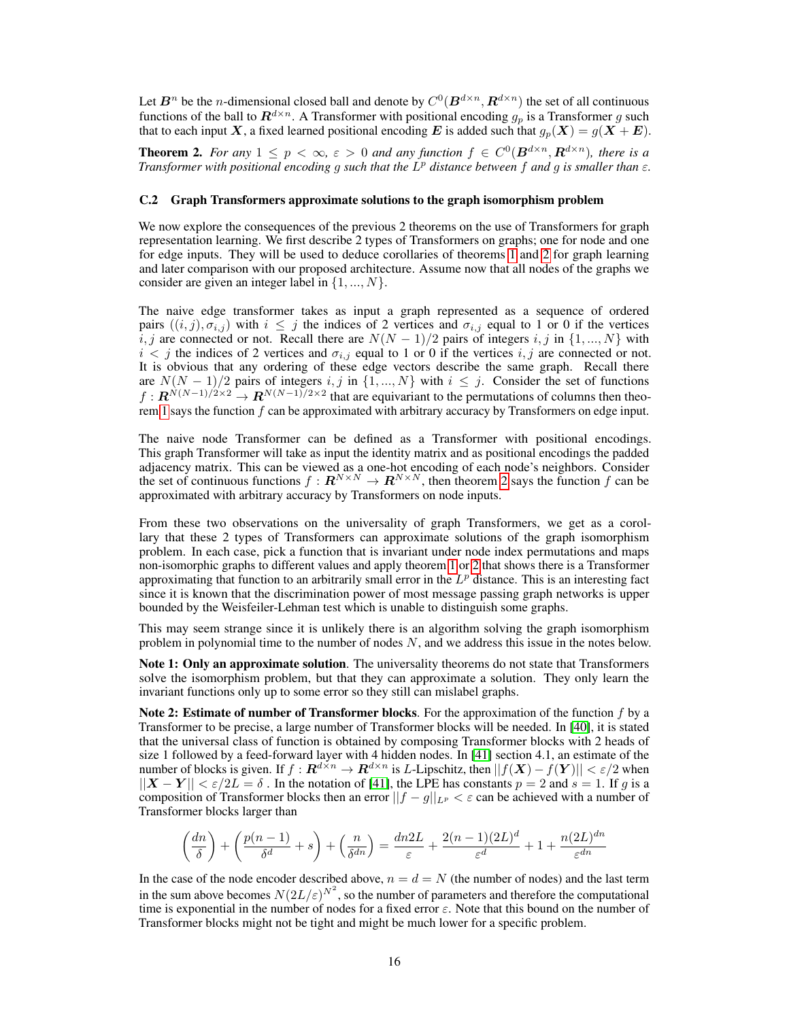Let  $B^n$  be the *n*-dimensional closed ball and denote by  $C^0(B^{d \times n}, R^{d \times n})$  the set of all continuous functions of the ball to  $\mathbb{R}^{d \times n}$ . A Transformer with positional encoding  $g_p$  is a Transformer g such that to each input X, a fixed learned positional encoding E is added such that  $g_p(X) = g(X + E)$ .

<span id="page-3-0"></span>**Theorem 2.** For any  $1 \leq p < \infty$ ,  $\epsilon > 0$  and any function  $f \in C^0(\mathbf{B}^{d \times n}, \mathbf{R}^{d \times n})$ , there is a *Transformer with positional encoding* g *such that the* L <sup>p</sup> *distance between* f *and* g *is smaller than* ε*.*

### <span id="page-3-1"></span>C.2 Graph Transformers approximate solutions to the graph isomorphism problem

We now explore the consequences of the previous 2 theorems on the use of Transformers for graph representation learning. We first describe 2 types of Transformers on graphs; one for node and one for edge inputs. They will be used to deduce corollaries of theorems [1](#page-2-0) and [2](#page-3-0) for graph learning and later comparison with our proposed architecture. Assume now that all nodes of the graphs we consider are given an integer label in  $\{1, ..., N\}$ .

The naive edge transformer takes as input a graph represented as a sequence of ordered pairs  $((i, j), \sigma_{i,j})$  with  $i \leq j$  the indices of 2 vertices and  $\sigma_{i,j}$  equal to 1 or 0 if the vertices  $i, j$  are connected or not. Recall there are  $N(N-1)/2$  pairs of integers  $i, j$  in  $\{1, ..., N\}$  with  $i < j$  the indices of 2 vertices and  $\sigma_{i,j}$  equal to 1 or 0 if the vertices  $i, j$  are connected or not. It is obvious that any ordering of these edge vectors describe the same graph. Recall there are  $N(N-1)/2$  pairs of integers i, j in  $\{1, ..., N\}$  with  $i \leq j$ . Consider the set of functions  $f: \mathbf{R}^{N(N-1)/2 \times 2} \to \mathbf{R}^{N(N-1)/2 \times 2}$  that are equivariant to the permutations of columns then theo-rem [1](#page-2-0) says the function  $f$  can be approximated with arbitrary accuracy by Transformers on edge input.

The naive node Transformer can be defined as a Transformer with positional encodings. This graph Transformer will take as input the identity matrix and as positional encodings the padded adjacency matrix. This can be viewed as a one-hot encoding of each node's neighbors. Consider the set of continuous functions  $f: \mathbf{R}^{N \times N} \to \mathbf{R}^{N \times N}$ , then theorem [2](#page-3-0) says the function f can be approximated with arbitrary accuracy by Transformers on node inputs.

From these two observations on the universality of graph Transformers, we get as a corollary that these 2 types of Transformers can approximate solutions of the graph isomorphism problem. In each case, pick a function that is invariant under node index permutations and maps non-isomorphic graphs to different values and apply theorem [1](#page-2-0) or [2](#page-3-0) that shows there is a Transformer approximating that function to an arbitrarily small error in the  $L^p$  distance. This is an interesting fact since it is known that the discrimination power of most message passing graph networks is upper bounded by the Weisfeiler-Lehman test which is unable to distinguish some graphs.

This may seem strange since it is unlikely there is an algorithm solving the graph isomorphism problem in polynomial time to the number of nodes  $N$ , and we address this issue in the notes below.

Note 1: Only an approximate solution. The universality theorems do not state that Transformers solve the isomorphism problem, but that they can approximate a solution. They only learn the invariant functions only up to some error so they still can mislabel graphs.

Note 2: Estimate of number of Transformer blocks. For the approximation of the function  $f$  by a Transformer to be precise, a large number of Transformer blocks will be needed. In [\[40\]](#page--1-9), it is stated that the universal class of function is obtained by composing Transformer blocks with 2 heads of size 1 followed by a feed-forward layer with 4 hidden nodes. In [\[41\]](#page--1-10) section 4.1, an estimate of the number of blocks is given. If  $f: \mathbb{R}^{d \times n} \to \mathbb{R}^{d \times n}$  is *L*-Lipschitz, then  $||f(X) - f(Y)|| < \varepsilon/2$  when  $||X - Y|| < \varepsilon/2L = \delta$ . In the notation of [\[41\]](#page--1-10), the LPE has constants  $p = 2$  and  $s = 1$ . If g is a composition of Transformer blocks then an error  $||f - g||_{L^p} < \varepsilon$  can be achieved with a number of Transformer blocks larger than

$$
\left(\frac{dn}{\delta}\right) + \left(\frac{p(n-1)}{\delta^d} + s\right) + \left(\frac{n}{\delta^{dn}}\right) = \frac{dn2L}{\varepsilon} + \frac{2(n-1)(2L)^d}{\varepsilon^d} + 1 + \frac{n(2L)^{dn}}{\varepsilon^{dn}}
$$

In the case of the node encoder described above,  $n = d = N$  (the number of nodes) and the last term in the sum above becomes  $N(2L/\varepsilon)^{N^2}$ , so the number of parameters and therefore the computational time is exponential in the number of nodes for a fixed error  $\varepsilon$ . Note that this bound on the number of Transformer blocks might not be tight and might be much lower for a specific problem.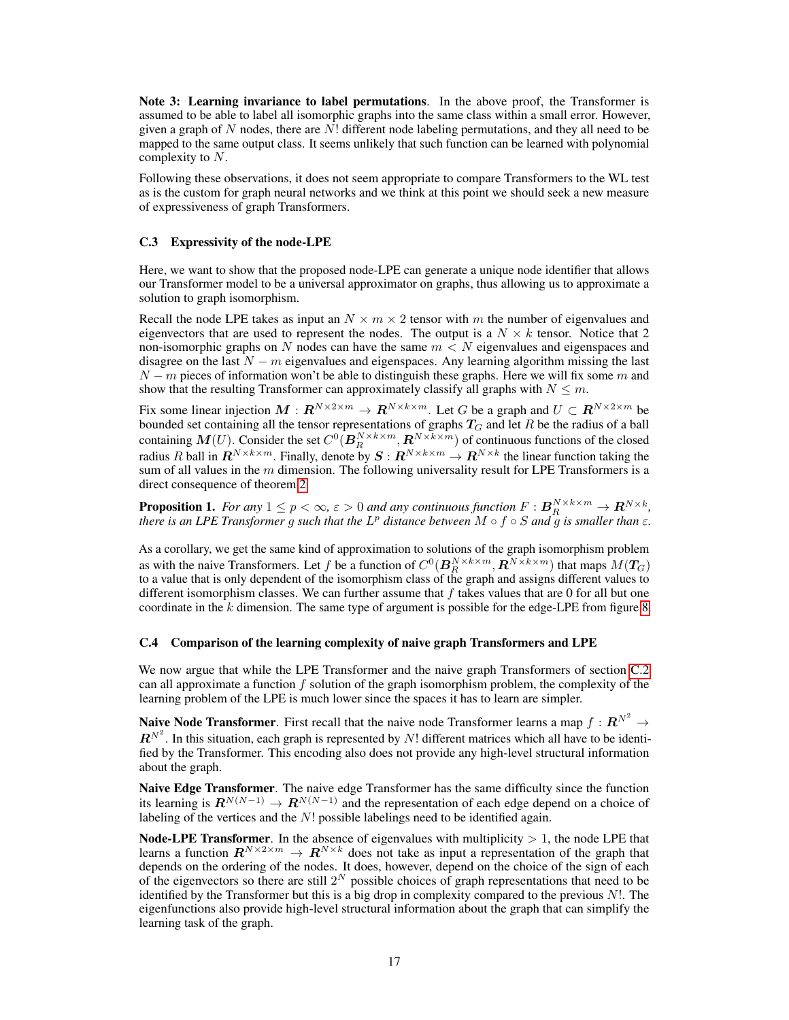Note 3: Learning invariance to label permutations. In the above proof, the Transformer is assumed to be able to label all isomorphic graphs into the same class within a small error. However, given a graph of N nodes, there are  $N!$  different node labeling permutations, and they all need to be mapped to the same output class. It seems unlikely that such function can be learned with polynomial complexity to N.

Following these observations, it does not seem appropriate to compare Transformers to the WL test as is the custom for graph neural networks and we think at this point we should seek a new measure of expressiveness of graph Transformers.

### C.3 Expressivity of the node-LPE

Here, we want to show that the proposed node-LPE can generate a unique node identifier that allows our Transformer model to be a universal approximator on graphs, thus allowing us to approximate a solution to graph isomorphism.

Recall the node LPE takes as input an  $N \times m \times 2$  tensor with m the number of eigenvalues and eigenvectors that are used to represent the nodes. The output is a  $N \times k$  tensor. Notice that 2 non-isomorphic graphs on N nodes can have the same  $m < N$  eigenvalues and eigenspaces and disagree on the last  $N - m$  eigenvalues and eigenspaces. Any learning algorithm missing the last  $N - m$  pieces of information won't be able to distinguish these graphs. Here we will fix some m and show that the resulting Transformer can approximately classify all graphs with  $N \leq m$ .

Fix some linear injection  $M: \mathbf{R}^{N\times2\times m} \to \mathbf{R}^{N\times k\times m}$ . Let G be a graph and  $U \subset \mathbf{R}^{N\times2\times m}$  be bounded set containing all the tensor representations of graphs  $T_G$  and let R be the radius of a ball containing  $M(U)$ . Consider the set  $C^0(B^{N\times k\times m}_R,R^{N\times k\times m})$  of continuous functions of the closed radius R ball in  $R^{N\times k\times m}$ . Finally, denote by  $S: R^{N\times k\times m}\to R^{N\times k}$  the linear function taking the sum of all values in the  $m$  dimension. The following universality result for LPE Transformers is a direct consequence of theorem [2.](#page-3-0)

**Proposition 1.** For any  $1 \le p < \infty$ ,  $\varepsilon > 0$  and any continuous function  $F: \mathbf{B}_{R}^{N \times k \times m} \to \mathbf{R}^{N \times k}$ , *there is an LPE Transformer* g *such that the* L <sup>p</sup> *distance between* M ◦ f ◦ S *and* g *is smaller than* ε*.*

As a corollary, we get the same kind of approximation to solutions of the graph isomorphism problem as with the naive Transformers. Let f be a function of  $C^0(B_R^{N \times k \times m}, R^{N \times k \times m})$  that maps  $M(T_G)$ to a value that is only dependent of the isomorphism class of the graph and assigns different values to different isomorphism classes. We can further assume that  $f$  takes values that are 0 for all but one coordinate in the  $k$  dimension. The same type of argument is possible for the edge-LPE from figure [8.](#page-0-0)

### C.4 Comparison of the learning complexity of naive graph Transformers and LPE

We now argue that while the LPE Transformer and the naive graph Transformers of section [C.2](#page-3-1) can all approximate a function  $f$  solution of the graph isomorphism problem, the complexity of the learning problem of the LPE is much lower since the spaces it has to learn are simpler.

**Naive Node Transformer.** First recall that the naive node Transformer learns a map  $f: \mathbb{R}^{N^2} \to$  $\boldsymbol{R}^{N^2}$ . In this situation, each graph is represented by N! different matrices which all have to be identified by the Transformer. This encoding also does not provide any high-level structural information about the graph.

Naive Edge Transformer. The naive edge Transformer has the same difficulty since the function its learning is  $\mathbb{R}^{N(N-1)} \to \mathbb{R}^{N(N-1)}$  and the representation of each edge depend on a choice of labeling of the vertices and the  $N!$  possible labelings need to be identified again.

**Node-LPE Transformer**. In the absence of eigenvalues with multiplicity  $> 1$ , the node LPE that learns a function  $R^{N\times2\times m} \to R^{N\times k}$  does not take as input a representation of the graph that depends on the ordering of the nodes. It does, however, depend on the choice of the sign of each of the eigenvectors so there are still  $2^N$  possible choices of graph representations that need to be identified by the Transformer but this is a big drop in complexity compared to the previous  $N!$ . The eigenfunctions also provide high-level structural information about the graph that can simplify the learning task of the graph.